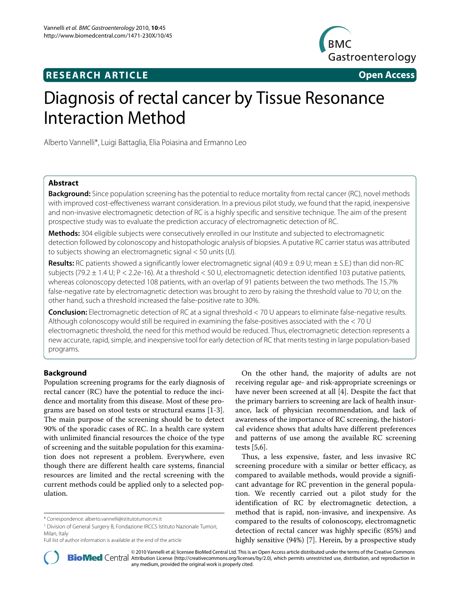# **RESEARCH ARTICLE Open Access**



# Diagnosis of rectal cancer by Tissue Resonance Interaction Method

Alberto Vannelli\*, Luigi Battaglia, Elia Poiasina and Ermanno Leo

# **Abstract**

**Background:** Since population screening has the potential to reduce mortality from rectal cancer (RC), novel methods with improved cost-effectiveness warrant consideration. In a previous pilot study, we found that the rapid, inexpensive and non-invasive electromagnetic detection of RC is a highly specific and sensitive technique. The aim of the present prospective study was to evaluate the prediction accuracy of electromagnetic detection of RC.

**Methods:** 304 eligible subjects were consecutively enrolled in our Institute and subjected to electromagnetic detection followed by colonoscopy and histopathologic analysis of biopsies. A putative RC carrier status was attributed to subjects showing an electromagnetic signal < 50 units (U).

**Results:** RC patients showed a significantly lower electromagnetic signal (40.9 ± 0.9 U; mean ± S.E.) than did non-RC subjects (79.2 ± 1.4 U; P < 2.2e-16). At a threshold < 50 U, electromagnetic detection identified 103 putative patients, whereas colonoscopy detected 108 patients, with an overlap of 91 patients between the two methods. The 15.7% false-negative rate by electromagnetic detection was brought to zero by raising the threshold value to 70 U; on the other hand, such a threshold increased the false-positive rate to 30%.

**Conclusion:** Electromagnetic detection of RC at a signal threshold < 70 U appears to eliminate false-negative results. Although colonoscopy would still be required in examining the false-positives associated with the < 70 U electromagnetic threshold, the need for this method would be reduced. Thus, electromagnetic detection represents a new accurate, rapid, simple, and inexpensive tool for early detection of RC that merits testing in large population-based programs.

# **Background**

Population screening programs for the early diagnosis of rectal cancer (RC) have the potential to reduce the incidence and mortality from this disease. Most of these programs are based on stool tests or structural exams [[1-](#page-5-0)[3](#page-5-1)]. The main purpose of the screening should be to detect 90% of the sporadic cases of RC. In a health care system with unlimited financial resources the choice of the type of screening and the suitable population for this examination does not represent a problem. Everywhere, even though there are different health care systems, financial resources are limited and the rectal screening with the current methods could be applied only to a selected population.

On the other hand, the majority of adults are not receiving regular age- and risk-appropriate screenings or have never been screened at all [[4\]](#page-5-2). Despite the fact that the primary barriers to screening are lack of health insurance, lack of physician recommendation, and lack of awareness of the importance of RC screening, the historical evidence shows that adults have different preferences and patterns of use among the available RC screening tests [[5,](#page-5-3)[6\]](#page-5-4).

Thus, a less expensive, faster, and less invasive RC screening procedure with a similar or better efficacy, as compared to available methods, would provide a significant advantage for RC prevention in the general population. We recently carried out a pilot study for the identification of RC by electromagnetic detection, a method that is rapid, non-invasive, and inexpensive. As compared to the results of colonoscopy, electromagnetic detection of rectal cancer was highly specific (85%) and highly sensitive (94%) [[7\]](#page-5-5). Herein, by a prospective study



2010 Vannelli et al; licensee [BioMed](http://www.biomedcentral.com/) Central Ltd. This is an Open Access article distributed under the terms of the Creative Commons (http://creativecommons.org/licenses/by/2.0), which permits unrestricted use, distributio any medium, provided the original work is properly cited.

<sup>\*</sup> Correspondence: alberto.vannelli@istitutotumori.mi.it

<sup>1</sup> Division of General Surgery B, Fondazione IRCCS Istituto Nazionale Tumori, Milan, Italy

Full list of author information is available at the end of the article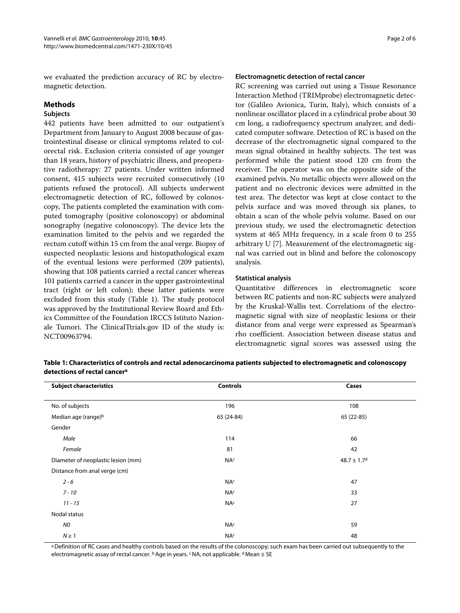we evaluated the prediction accuracy of RC by electromagnetic detection.

# **Methods**

#### **Subjects**

442 patients have been admitted to our outpatient's Department from January to August 2008 because of gastrointestinal disease or clinical symptoms related to colorectal risk. Exclusion criteria consisted of age younger than 18 years, history of psychiatric illness, and preoperative radiotherapy: 27 patients. Under written informed consent, 415 subjects were recruited consecutively (10 patients refused the protocol). All subjects underwent electromagnetic detection of RC, followed by colonoscopy, The patients completed the examination with computed tomography (positive colonoscopy) or abdominal sonography (negative colonoscopy). The device lets the examination limited to the pelvis and we regarded the rectum cutoff within 15 cm from the anal verge. Biopsy of suspected neoplastic lesions and histopathological exam of the eventual lesions were performed (209 patients), showing that 108 patients carried a rectal cancer whereas 101 patients carried a cancer in the upper gastrointestinal tract (right or left colon); these latter patients were excluded from this study (Table [1](#page-1-0)). The study protocol was approved by the Institutional Review Board and Ethics Committee of the Foundation IRCCS Istituto Nazionale Tumori. The ClinicalTtrials.gov ID of the study is: NCT00963794.

#### **Electromagnetic detection of rectal cancer**

RC screening was carried out using a Tissue Resonance Interaction Method (TRIMprobe) electromagnetic detector (Galileo Avionica, Turin, Italy), which consists of a nonlinear oscillator placed in a cylindrical probe about 30 cm long, a radiofrequency spectrum analyzer, and dedicated computer software. Detection of RC is based on the decrease of the electromagnetic signal compared to the mean signal obtained in healthy subjects. The test was performed while the patient stood 120 cm from the receiver. The operator was on the opposite side of the examined pelvis. No metallic objects were allowed on the patient and no electronic devices were admitted in the test area. The detector was kept at close contact to the pelvis surface and was moved through six planes, to obtain a scan of the whole pelvis volume. Based on our previous study, we used the electromagnetic detection system at 465 MHz frequency, in a scale from 0 to 255 arbitrary U [\[7](#page-5-5)]. Measurement of the electromagnetic signal was carried out in blind and before the colonoscopy analysis.

### **Statistical analysis**

Quantitative differences in electromagnetic score between RC patients and non-RC subjects were analyzed by the Kruskal-Wallis test. Correlations of the electromagnetic signal with size of neoplastic lesions or their distance from anal verge were expressed as Spearman's rho coefficient. Association between disease status and electromagnetic signal scores was assessed using the

<span id="page-1-0"></span>

| Table 1: Characteristics of controls and rectal adenocarcinoma patients subjected to electromagnetic and colonoscopy |
|----------------------------------------------------------------------------------------------------------------------|
| detections of rectal cancer <sup>a</sup>                                                                             |

| <b>Subject characteristics</b>     | <b>Controls</b> | Cases                       |
|------------------------------------|-----------------|-----------------------------|
|                                    |                 |                             |
| No. of subjects                    | 196             | 108                         |
| Median age (range) <sup>b</sup>    | 65 (24-84)      | 65 (22-85)                  |
| Gender                             |                 |                             |
| Male                               | 114             | 66                          |
| Female                             | 81              | 42                          |
| Diameter of neoplastic lesion (mm) | NA <sub>c</sub> | $48.7 \pm 1.7$ <sup>d</sup> |
| Distance from anal verge (cm)      |                 |                             |
| $2 - 6$                            | NA <sup>c</sup> | 47                          |
| $7 - 10$                           | NA <sub>c</sub> | 33                          |
| $11 - 15$                          | NA <sup>c</sup> | 27                          |
| Nodal status                       |                 |                             |
| N0                                 | NA <sub>c</sub> | 59                          |
| $N \geq 1$                         | NA <sup>c</sup> | 48                          |

a Definition of RC cases and healthy controls based on the results of the colonoscopy; such exam has been carried out subsequently to the electromagnetic assay of rectal cancer.  $\frac{b}{a}$  Age in years. <sup>c</sup> NA, not applicable. <sup>d</sup> Mean  $\pm$  SE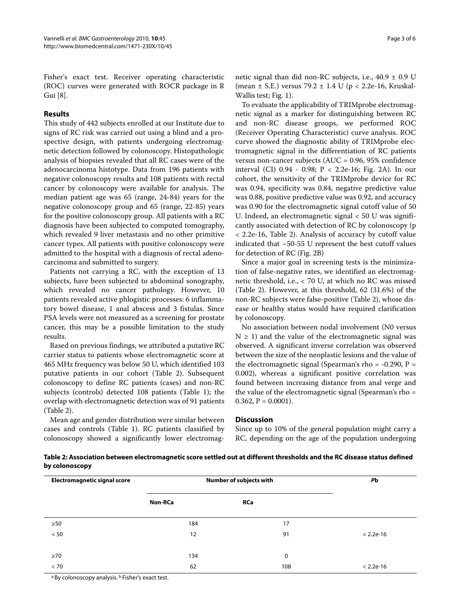Fisher's exact test. Receiver operating characteristic (ROC) curves were generated with ROCR package in R Gui [\[8](#page-5-6)].

# **Results**

This study of 442 subjects enrolled at our Institute due to signs of RC risk was carried out using a blind and a prospective design, with patients undergoing electromagnetic detection followed by colonoscopy. Histopathologic analysis of biopsies revealed that all RC cases were of the adenocarcinoma histotype. Data from 196 patients with negative colonoscopy results and 108 patients with rectal cancer by colonoscopy were available for analysis. The median patient age was 65 (range, 24-84) years for the negative colonoscopy group and 65 (range, 22-85) years for the positive colonoscopy group. All patients with a RC diagnosis have been subjected to computed tomography, which revealed 9 liver metastasis and no other primitive cancer types. All patients with positive colonoscopy were admitted to the hospital with a diagnosis of rectal adenocarcinoma and submitted to surgery.

Patients not carrying a RC, with the exception of 13 subjects, have been subjected to abdominal sonography, which revealed no cancer pathology. However, 10 patients revealed active phlogistic processes: 6 inflammatory bowel disease, 1 anal abscess and 3 fistulas. Since PSA levels were not measured as a screening for prostate cancer, this may be a possible limitation to the study results.

Based on previous findings, we attributed a putative RC carrier status to patients whose electromagnetic score at 465 MHz frequency was below 50 U, which identified 103 putative patients in our cohort (Table 2). Subsequent colonoscopy to define RC patients (cases) and non-RC subjects (controls) detected 108 patients (Table 1); the overlap with electromagnetic detection was of 91 patients (Table 2).

Mean age and gender distribution were similar between cases and controls (Table 1). RC patients classified by colonoscopy showed a significantly lower electromag-

netic signal than did non-RC subjects, i.e.,  $40.9 \pm 0.9$  U (mean ± S.E.) versus 79.2 ± 1.4 U (p < 2.2e-16, Kruskal-Wallis test; Fig. [1\)](#page-3-0).

To evaluate the applicability of TRIMprobe electromagnetic signal as a marker for distinguishing between RC and non-RC disease groups, we performed ROC (Receiver Operating Characteristic) curve analysis. ROC curve showed the diagnostic ability of TRIMprobe electromagnetic signal in the differentiation of RC patients versus non-cancer subjects (AUC = 0.96, 95% confidence interval (CI) 0.94 - 0.98; P < 2.2e-16; Fig. [2A](#page-3-1)). In our cohort, the sensitivity of the TRIMprobe device for RC was 0.94, specificity was 0.84, negative predictive value was 0.88, positive predictive value was 0.92, and accuracy was 0.90 for the electromagnetic signal cutoff value of 50 U. Indeed, an electromagnetic signal < 50 U was significantly associated with detection of RC by colonoscopy (p < 2.2e-16, Table 2). Analysis of accuracy by cutoff value indicated that  $\sim$  50-55 U represent the best cutoff values for detection of RC (Fig. [2](#page-3-1)B)

Since a major goal in screening tests is the minimization of false-negative rates, we identified an electromagnetic threshold, i.e., < 70 U, at which no RC was missed (Table 2). However, at this threshold, 62 (31.6%) of the non-RC subjects were false-positive (Table 2), whose disease or healthy status would have required clarification by colonoscopy.

No association between nodal involvement (N0 versus  $N \geq 1$ ) and the value of the electromagnetic signal was observed. A significant inverse correlation was observed between the size of the neoplastic lesions and the value of the electromagnetic signal (Spearman's rho = -0.290,  $P =$ 0.002), whereas a significant positive correlation was found between increasing distance from anal verge and the value of the electromagnetic signal (Spearman's rho =  $0.362, P = 0.0001$ ).

# **Discussion**

Since up to 10% of the general population might carry a RC, depending on the age of the population undergoing

<span id="page-2-0"></span>**Table 2: Association between electromagnetic score settled out at different thresholds and the RC disease status defined by colonoscopy**

| <b>Electromagnetic signal score</b> | Number of subjects with | Pb         |             |
|-------------------------------------|-------------------------|------------|-------------|
|                                     | <b>Non-RCa</b>          | <b>RCa</b> |             |
| $\geq 50$                           | 184                     | 17         |             |
| < 50                                | 12                      | 91         | $< 2.2e-16$ |
|                                     |                         |            |             |
| $\geq 70$                           | 134                     | 0          |             |
| < 70                                | 62                      | 108        | $< 2.2e-16$ |

<sup>a</sup> By colonoscopy analysis. <sup>b</sup> Fisher's exact test.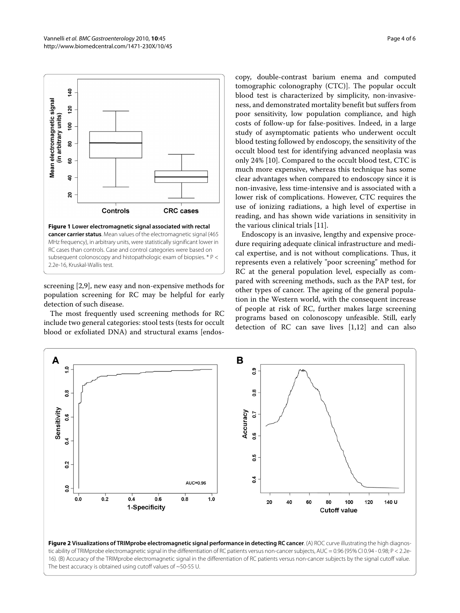<span id="page-3-0"></span>

screening [[2,](#page-5-7)[9\]](#page-5-8), new easy and non-expensive methods for population screening for RC may be helpful for early detection of such disease.

The most frequently used screening methods for RC include two general categories: stool tests (tests for occult blood or exfoliated DNA) and structural exams [endos-

copy, double-contrast barium enema and computed tomographic colonography (CTC)]. The popular occult blood test is characterized by simplicity, non-invasiveness, and demonstrated mortality benefit but suffers from poor sensitivity, low population compliance, and high costs of follow-up for false-positives. Indeed, in a large study of asymptomatic patients who underwent occult blood testing followed by endoscopy, the sensitivity of the occult blood test for identifying advanced neoplasia was only 24% [\[10\]](#page-5-9). Compared to the occult blood test, CTC is much more expensive, whereas this technique has some clear advantages when compared to endoscopy since it is non-invasive, less time-intensive and is associated with a lower risk of complications. However, CTC requires the use of ionizing radiations, a high level of expertise in reading, and has shown wide variations in sensitivity in the various clinical trials [[11\]](#page-5-10).

Endoscopy is an invasive, lengthy and expensive procedure requiring adequate clinical infrastructure and medical expertise, and is not without complications. Thus, it represents even a relatively "poor screening" method for RC at the general population level, especially as compared with screening methods, such as the PAP test, for other types of cancer. The ageing of the general population in the Western world, with the consequent increase of people at risk of RC, further makes large screening programs based on colonoscopy unfeasible. Still, early detection of RC can save lives [\[1](#page-5-0)[,12](#page-5-11)] and can also

<span id="page-3-1"></span>

Figure 2 Visualizations of TRIMprobe electromagnetic signal performance in detecting RC cancer. (A) ROC curve illustrating the high diagnostic ability of TRIMprobe electromagnetic signal in the differentiation of RC patients versus non-cancer subjects, AUC = 0.96 (95% CI 0.94 - 0.98; P < 2.2e-16). (B) Accuracy of the TRIMprobe electromagnetic signal in the differentiation of RC patients versus non-cancer subjects by the signal cutoff value. The best accuracy is obtained using cutoff values of ~50-55 U.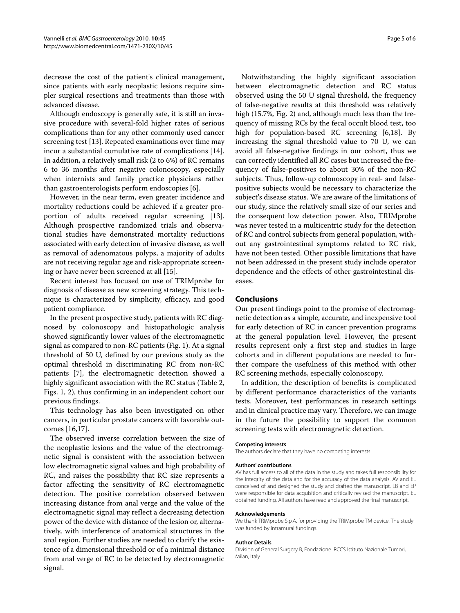decrease the cost of the patient's clinical management, since patients with early neoplastic lesions require simpler surgical resections and treatments than those with advanced disease.

Although endoscopy is generally safe, it is still an invasive procedure with several-fold higher rates of serious complications than for any other commonly used cancer screening test [\[13](#page-5-12)]. Repeated examinations over time may incur a substantial cumulative rate of complications [\[14](#page-5-13)]. In addition, a relatively small risk (2 to 6%) of RC remains 6 to 36 months after negative colonoscopy, especially when internists and family practice physicians rather than gastroenterologists perform endoscopies [\[6](#page-5-4)].

However, in the near term, even greater incidence and mortality reductions could be achieved if a greater proportion of adults received regular screening [\[13](#page-5-12)]. Although prospective randomized trials and observational studies have demonstrated mortality reductions associated with early detection of invasive disease, as well as removal of adenomatous polyps, a majority of adults are not receiving regular age and risk-appropriate screening or have never been screened at all [[15\]](#page-5-14).

Recent interest has focused on use of TRIMprobe for diagnosis of disease as new screening strategy. This technique is characterized by simplicity, efficacy, and good patient compliance.

In the present prospective study, patients with RC diagnosed by colonoscopy and histopathologic analysis showed significantly lower values of the electromagnetic signal as compared to non-RC patients (Fig. [1\)](#page-3-0). At a signal threshold of 50 U, defined by our previous study as the optimal threshold in discriminating RC from non-RC patients [\[7](#page-5-5)], the electromagnetic detection showed a highly significant association with the RC status (Table [2](#page-2-0), Figs. [1,](#page-3-0) [2\)](#page-3-1), thus confirming in an independent cohort our previous findings.

This technology has also been investigated on other cancers, in particular prostate cancers with favorable outcomes [\[16](#page-5-15)[,17](#page-5-16)].

The observed inverse correlation between the size of the neoplastic lesions and the value of the electromagnetic signal is consistent with the association between low electromagnetic signal values and high probability of RC, and raises the possibility that RC size represents a factor affecting the sensitivity of RC electromagnetic detection. The positive correlation observed between increasing distance from anal verge and the value of the electromagnetic signal may reflect a decreasing detection power of the device with distance of the lesion or, alternatively, with interference of anatomical structures in the anal region. Further studies are needed to clarify the existence of a dimensional threshold or of a minimal distance from anal verge of RC to be detected by electromagnetic signal.

Notwithstanding the highly significant association between electromagnetic detection and RC status observed using the 50 U signal threshold, the frequency of false-negative results at this threshold was relatively high (15.7%, Fig. [2\)](#page-3-1) and, although much less than the frequency of missing RCs by the fecal occult blood test, too high for population-based RC screening [\[6](#page-5-4),[18](#page-5-17)]. By increasing the signal threshold value to 70 U, we can avoid all false-negative findings in our cohort, thus we can correctly identified all RC cases but increased the frequency of false-positives to about 30% of the non-RC subjects. Thus, follow-up colonoscopy in real- and falsepositive subjects would be necessary to characterize the subject's disease status. We are aware of the limitations of our study, since the relatively small size of our series and the consequent low detection power. Also, TRIMprobe was never tested in a multicentric study for the detection of RC and control subjects from general population, without any gastrointestinal symptoms related to RC risk, have not been tested. Other possible limitations that have not been addressed in the present study include operator dependence and the effects of other gastrointestinal diseases.

## **Conclusions**

Our present findings point to the promise of electromagnetic detection as a simple, accurate, and inexpensive tool for early detection of RC in cancer prevention programs at the general population level. However, the present results represent only a first step and studies in large cohorts and in different populations are needed to further compare the usefulness of this method with other RC screening methods, especially colonoscopy.

In addition, the description of benefits is complicated by different performance characteristics of the variants tests. Moreover, test performances in research settings and in clinical practice may vary. Therefore, we can image in the future the possibility to support the common screening tests with electromagnetic detection.

#### **Competing interests**

The authors declare that they have no competing interests.

#### **Authors' contributions**

AV has full access to all of the data in the study and takes full responsibility for the integrity of the data and for the accuracy of the data analysis. AV and EL conceived of and designed the study and drafted the manuscript. LB and EP were responsible for data acquisition and critically revised the manuscript. EL obtained funding. All authors have read and approved the final manuscript.

#### **Acknowledgements**

We thank TRIMprobe S.p.A. for providing the TRIMprobe TM device. The study was funded by intramural fundings.

#### **Author Details**

Division of General Surgery B, Fondazione IRCCS Istituto Nazionale Tumori, Milan, Italy